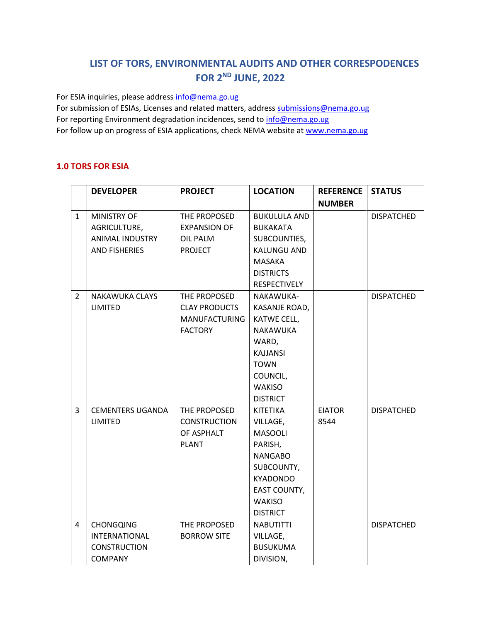# **LIST OF TORS, ENVIRONMENTAL AUDITS AND OTHER CORRESPODENCES FOR 2ND JUNE, 2022**

For ESIA inquiries, please addres[s info@nema.go.ug](mailto:info@nema.go.ug)

For submission of ESIAs, Licenses and related matters, address [submissions@nema.go.ug](mailto:submissions@nema.go.ug) For reporting Environment degradation incidences, send t[o info@nema.go.ug](mailto:info@nema.go.ug) For follow up on progress of ESIA applications, check NEMA website at [www.nema.go.ug](http://www.nema.go.ug/)

### **1.0 TORS FOR ESIA**

|                | <b>DEVELOPER</b>        | <b>PROJECT</b>       | <b>LOCATION</b>     | <b>REFERENCE</b> | <b>STATUS</b>     |
|----------------|-------------------------|----------------------|---------------------|------------------|-------------------|
|                |                         |                      |                     | <b>NUMBER</b>    |                   |
| $\mathbf{1}$   | <b>MINISTRY OF</b>      | THE PROPOSED         | <b>BUKULULA AND</b> |                  | <b>DISPATCHED</b> |
|                | AGRICULTURE,            | <b>EXPANSION OF</b>  | <b>BUKAKATA</b>     |                  |                   |
|                | ANIMAL INDUSTRY         | <b>OIL PALM</b>      | SUBCOUNTIES,        |                  |                   |
|                | <b>AND FISHERIES</b>    | <b>PROJECT</b>       | <b>KALUNGU AND</b>  |                  |                   |
|                |                         |                      | <b>MASAKA</b>       |                  |                   |
|                |                         |                      | <b>DISTRICTS</b>    |                  |                   |
|                |                         |                      | <b>RESPECTIVELY</b> |                  |                   |
| $\overline{2}$ | <b>NAKAWUKA CLAYS</b>   | THE PROPOSED         | NAKAWUKA-           |                  | <b>DISPATCHED</b> |
|                | <b>LIMITED</b>          | <b>CLAY PRODUCTS</b> | KASANJE ROAD,       |                  |                   |
|                |                         | <b>MANUFACTURING</b> | KATWE CELL,         |                  |                   |
|                |                         | <b>FACTORY</b>       | NAKAWUKA            |                  |                   |
|                |                         |                      | WARD,               |                  |                   |
|                |                         |                      | <b>KAJJANSI</b>     |                  |                   |
|                |                         |                      | <b>TOWN</b>         |                  |                   |
|                |                         |                      | COUNCIL,            |                  |                   |
|                |                         |                      | <b>WAKISO</b>       |                  |                   |
|                |                         |                      | <b>DISTRICT</b>     |                  |                   |
| 3              | <b>CEMENTERS UGANDA</b> | THE PROPOSED         | <b>KITETIKA</b>     | <b>EIATOR</b>    | <b>DISPATCHED</b> |
|                | <b>LIMITED</b>          | <b>CONSTRUCTION</b>  | VILLAGE,            | 8544             |                   |
|                |                         | OF ASPHALT           | <b>MASOOLI</b>      |                  |                   |
|                |                         | <b>PLANT</b>         | PARISH,             |                  |                   |
|                |                         |                      | <b>NANGABO</b>      |                  |                   |
|                |                         |                      | SUBCOUNTY,          |                  |                   |
|                |                         |                      | <b>KYADONDO</b>     |                  |                   |
|                |                         |                      | EAST COUNTY,        |                  |                   |
|                |                         |                      | <b>WAKISO</b>       |                  |                   |
|                |                         |                      | <b>DISTRICT</b>     |                  |                   |
| 4              | <b>CHONGQING</b>        | THE PROPOSED         | <b>NABUTITTI</b>    |                  | <b>DISPATCHED</b> |
|                | <b>INTERNATIONAL</b>    | <b>BORROW SITE</b>   | VILLAGE,            |                  |                   |
|                | <b>CONSTRUCTION</b>     |                      | <b>BUSUKUMA</b>     |                  |                   |
|                | <b>COMPANY</b>          |                      | DIVISION,           |                  |                   |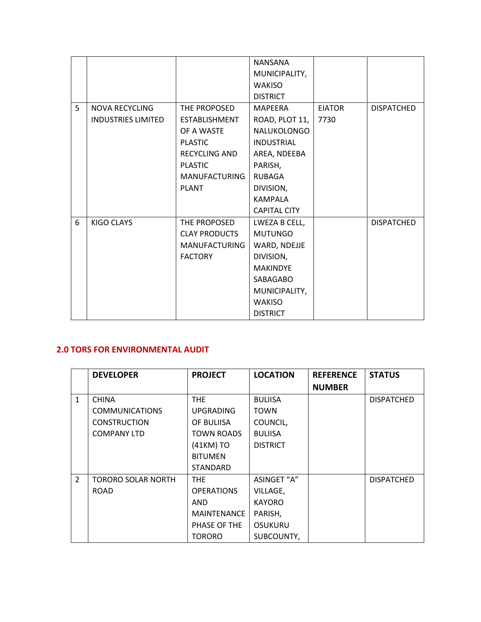|   |                           |                      | <b>NANSANA</b>      |               |                   |
|---|---------------------------|----------------------|---------------------|---------------|-------------------|
|   |                           |                      | MUNICIPALITY,       |               |                   |
|   |                           |                      | <b>WAKISO</b>       |               |                   |
|   |                           |                      | <b>DISTRICT</b>     |               |                   |
| 5 | <b>NOVA RECYCLING</b>     | THE PROPOSED         | <b>MAPEERA</b>      | <b>EIATOR</b> | <b>DISPATCHED</b> |
|   | <b>INDUSTRIES LIMITED</b> | <b>ESTABLISHMENT</b> | ROAD, PLOT 11,      | 7730          |                   |
|   |                           | OF A WASTE           | NALUKOLONGO         |               |                   |
|   |                           | <b>PLASTIC</b>       | <b>INDUSTRIAL</b>   |               |                   |
|   |                           | <b>RECYCLING AND</b> | AREA, NDEEBA        |               |                   |
|   |                           | <b>PLASTIC</b>       | PARISH,             |               |                   |
|   |                           | <b>MANUFACTURING</b> | <b>RUBAGA</b>       |               |                   |
|   |                           | <b>PLANT</b>         | DIVISION,           |               |                   |
|   |                           |                      | <b>KAMPALA</b>      |               |                   |
|   |                           |                      | <b>CAPITAL CITY</b> |               |                   |
| 6 | KIGO CLAYS                | THE PROPOSED         | LWEZA B CELL,       |               | <b>DISPATCHED</b> |
|   |                           | <b>CLAY PRODUCTS</b> | <b>MUTUNGO</b>      |               |                   |
|   |                           | <b>MANUFACTURING</b> | WARD, NDEJJE        |               |                   |
|   |                           | <b>FACTORY</b>       | DIVISION,           |               |                   |
|   |                           |                      | <b>MAKINDYE</b>     |               |                   |
|   |                           |                      | SABAGABO            |               |                   |
|   |                           |                      | MUNICIPALITY,       |               |                   |
|   |                           |                      | <b>WAKISO</b>       |               |                   |
|   |                           |                      | <b>DISTRICT</b>     |               |                   |

## **2.0 TORS FOR ENVIRONMENTAL AUDIT**

|               | <b>DEVELOPER</b>          | <b>PROJECT</b>     | <b>LOCATION</b> | <b>REFERENCE</b> | <b>STATUS</b>     |
|---------------|---------------------------|--------------------|-----------------|------------------|-------------------|
|               |                           |                    |                 | <b>NUMBER</b>    |                   |
| $\mathbf{1}$  | <b>CHINA</b>              | THE.               | <b>BULIISA</b>  |                  | <b>DISPATCHED</b> |
|               | <b>COMMUNICATIONS</b>     | <b>UPGRADING</b>   | <b>TOWN</b>     |                  |                   |
|               | <b>CONSTRUCTION</b>       | OF BULIISA         | COUNCIL,        |                  |                   |
|               | <b>COMPANY LTD</b>        | <b>TOWN ROADS</b>  | <b>BULIISA</b>  |                  |                   |
|               |                           | (41KM) TO          | <b>DISTRICT</b> |                  |                   |
|               |                           | <b>BITUMEN</b>     |                 |                  |                   |
|               |                           | <b>STANDARD</b>    |                 |                  |                   |
| $\mathcal{L}$ | <b>TORORO SOLAR NORTH</b> | THE.               | ASINGET "A"     |                  | <b>DISPATCHED</b> |
|               | <b>ROAD</b>               | <b>OPERATIONS</b>  | VILLAGE,        |                  |                   |
|               |                           | AND.               | <b>KAYORO</b>   |                  |                   |
|               |                           | <b>MAINTENANCE</b> | PARISH,         |                  |                   |
|               |                           | PHASE OF THE       | <b>OSUKURU</b>  |                  |                   |
|               |                           | <b>TORORO</b>      | SUBCOUNTY,      |                  |                   |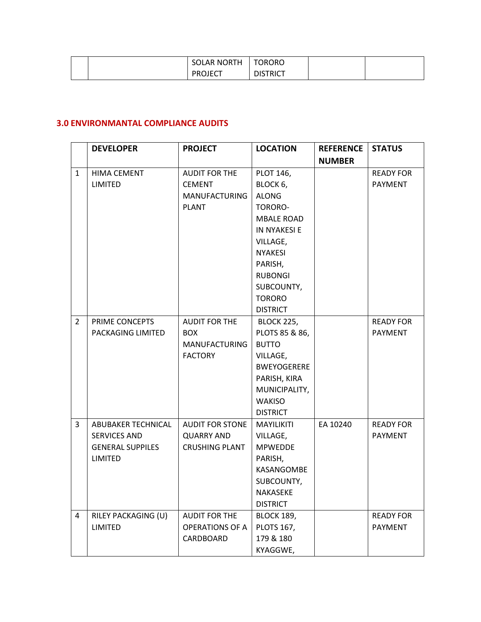|  | <b>SOLAR NORTH</b> | <b>TORORO</b>   |  |
|--|--------------------|-----------------|--|
|  | <b>PROJECT</b>     | <b>DISTRICT</b> |  |

### **3.0 ENVIRONMANTAL COMPLIANCE AUDITS**

|                | <b>DEVELOPER</b>        | <b>PROJECT</b>         | <b>LOCATION</b>    | <b>REFERENCE</b> | <b>STATUS</b>    |
|----------------|-------------------------|------------------------|--------------------|------------------|------------------|
|                |                         |                        |                    | <b>NUMBER</b>    |                  |
| $\mathbf{1}$   | <b>HIMA CEMENT</b>      | <b>AUDIT FOR THE</b>   | PLOT 146,          |                  | <b>READY FOR</b> |
|                | <b>LIMITED</b>          | <b>CEMENT</b>          | BLOCK 6,           |                  | <b>PAYMENT</b>   |
|                |                         | <b>MANUFACTURING</b>   | <b>ALONG</b>       |                  |                  |
|                |                         | <b>PLANT</b>           | TORORO-            |                  |                  |
|                |                         |                        | <b>MBALE ROAD</b>  |                  |                  |
|                |                         |                        | IN NYAKESI E       |                  |                  |
|                |                         |                        | VILLAGE,           |                  |                  |
|                |                         |                        | <b>NYAKESI</b>     |                  |                  |
|                |                         |                        | PARISH,            |                  |                  |
|                |                         |                        | <b>RUBONGI</b>     |                  |                  |
|                |                         |                        | SUBCOUNTY,         |                  |                  |
|                |                         |                        | <b>TORORO</b>      |                  |                  |
|                |                         |                        | <b>DISTRICT</b>    |                  |                  |
| $\overline{2}$ | PRIME CONCEPTS          | <b>AUDIT FOR THE</b>   | <b>BLOCK 225,</b>  |                  | <b>READY FOR</b> |
|                | PACKAGING LIMITED       | <b>BOX</b>             | PLOTS 85 & 86,     |                  | <b>PAYMENT</b>   |
|                |                         | <b>MANUFACTURING</b>   | <b>BUTTO</b>       |                  |                  |
|                |                         | <b>FACTORY</b>         | VILLAGE,           |                  |                  |
|                |                         |                        | <b>BWEYOGERERE</b> |                  |                  |
|                |                         |                        | PARISH, KIRA       |                  |                  |
|                |                         |                        | MUNICIPALITY,      |                  |                  |
|                |                         |                        | <b>WAKISO</b>      |                  |                  |
|                |                         |                        | <b>DISTRICT</b>    |                  |                  |
| 3              | ABUBAKER TECHNICAL      | <b>AUDIT FOR STONE</b> | <b>MAYILIKITI</b>  | EA 10240         | <b>READY FOR</b> |
|                | <b>SERVICES AND</b>     | <b>QUARRY AND</b>      | VILLAGE,           |                  | <b>PAYMENT</b>   |
|                | <b>GENERAL SUPPILES</b> | <b>CRUSHING PLANT</b>  | <b>MPWEDDE</b>     |                  |                  |
|                | <b>LIMITED</b>          |                        | PARISH,            |                  |                  |
|                |                         |                        | KASANGOMBE         |                  |                  |
|                |                         |                        | SUBCOUNTY,         |                  |                  |
|                |                         |                        | NAKASEKE           |                  |                  |
|                |                         |                        | <b>DISTRICT</b>    |                  |                  |
| 4              | RILEY PACKAGING (U)     | <b>AUDIT FOR THE</b>   | <b>BLOCK 189,</b>  |                  | <b>READY FOR</b> |
|                | LIMITED                 | <b>OPERATIONS OF A</b> | <b>PLOTS 167,</b>  |                  | PAYMENT          |
|                |                         | CARDBOARD              | 179 & 180          |                  |                  |
|                |                         |                        | KYAGGWE,           |                  |                  |